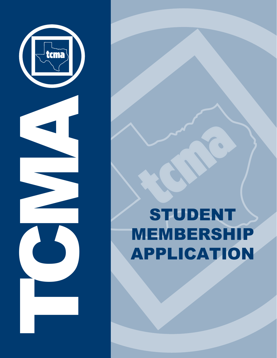

# STUDENT MEMBERSHIP APPLICATION

 $\bullet$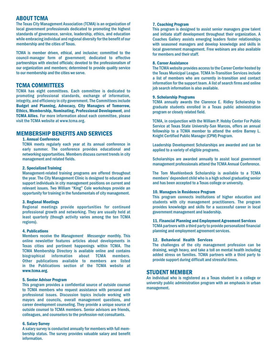# ABOUT TCMA

The Texas City Management Association (TCMA) is an organization of local government professionals dedicated to promoting the highest standards of governance, service, leadership, ethics, and education while embracing individual and regional diversity for the benefit of our membership and the cities of Texas.

TCMA is member driven, ethical, and inclusive; committed to the council-manager form of government; dedicated to effective partnerships with elected officials; devoted to the professionalism of our organization and members; determined to provide quality service to our membership and the cities we serve.

## TCMA COMMITTEES

TCMA has eight committees. Each committee is dedicated to promoting professional standards, exchange of information, integrity, and efficiency in city government. The Committees include Budget and Planning, Advocacy, City Managers of Tomorrow, Ethics, Membership, Nominating, Professional Development, and TCMA Allies. For more information about each committee, please visit the TCMA website at www.tcma.org.

# MEMBERSHIP BENEFITS AND SERVICES

## 1. Annual Conference

TCMA meets regularly each year at its annual conference in early summer. The conference provides educational and networking opportunities. Members discuss current trends in city management and related fields.

#### 2. Specialized Training

Management-related training programs are offered throughout the year. The City Management Clinic is designed to educate and support individuals in city management positions on current and relevant issues. Two William "King" Cole workshops provide an opportunity for training in the fundamentals of city management.

#### 3. Regional Meetings

Regional meetings provide opportunities for continued professional growth and networking. They are usually held at least quarterly (though activity varies among the ten TCMA regions).

## 4. Publications

Members receive the *Management Messenger* monthly. This online newsletter features articles about developments in Texas cities and pertinent happenings within TCMA. The TCMA Membership Directory is available online and contains biographical information Other publications available to members are listed in the Publications section of the TCMA website at www.tcma.org.

#### 5. Senior Advisor Program

This program provides a confidential source of outside counsel to TCMA members who request assistance with personal and professional issues. Discussion topics include working with mayors and councils, overall management questions, and career development counseling. They provide a unique source of outside counsel to TCMA members. Senior advisors are friends, colleagues, and counselors to the profession-not consultants.

#### 6. Salary Survey

A salary survey is conducted annually for members with full membership status. The survey provides valuable salary and benefit information.

## 7. Coaching Program

This program is designed to assist senior managers grow talent and initiate staff development throughout their organization. A Coaches Gallery assists emerging leaders foster relationships with seasoned managers and develop knowledge and skills in local government management. Free webinars are also available for members and their staff.

#### 8. Career Assistance

The TCMA website provides access to the Career Center hosted by the Texas Municipal League. TCMA In-Transition Services include a list of members who are currently in-transition and contact information for the support team. A list of search firms and online job search information is also available.

#### 9. Scholarship Programs

TCMA annually awards the Clarence E. Ridley Scholarship to graduate students enrolled in a Texas public administration program or closely related field.

TCMA, in conjunction with the William P. Hobby Center For Public Service at Texas State University-San Marcos, offers an annual fellowship to a TCMA member to attend the entire Barney L. Knight Certified Public Manager (CPM) Program.

Leadership Development Scholarships are awarded and can be applied to a variety of eligible programs.

Scholarships are awarded annually to assist local government management professionals attend the TCMA Annual Conference.

The Tom Muehlenbeck Scholarship is available to a TCMA members' dependent child who is a high school graduating senior and has been accepted to a Texas college or university.

#### 10. Managers in Residence Program

This program connects institutions of higher education and students with city management practitioners. The program provides knowledge and skills for a successful career in local government management and leadership.

## 11. Financial Planning and Employment Agreement Services .

TCMA partners with a third party to provide personalized financial planning and employment agreement services.

#### 12. Behavioral Health Services

The challenges of the city management profession can be draining, weigh heavy, and take a toll on mental health including added stress on families. TCMA partners with a third party to provide support during difficult and stressful times.

## STUDENT MEMBER

An individual who is registered as a Texas student in a college or university public administration program with an emphasis in urban management.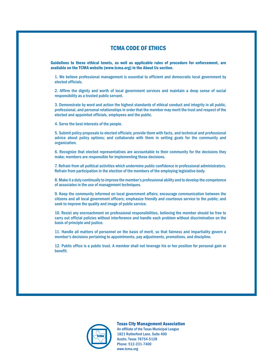# TCMA CODE OF ETHICS

Guidelines to these ethical tenets, as well as applicable rules of procedure for enforcement, are available on the TCMA website (www.tcma.org) in the About Us section.

1. We believe professional management is essential to efficient and democratic local government by elected officials.

2. Affirm the dignity and worth of local government services and maintain a deep sense of social responsibility as a trusted public servant.

3. Demonstrate by word and action the highest standards of ethical conduct and integrity in all public, professional, and personal relationships in order that the member may merit the trust and respect of the elected and appointed officials, employees and the public.

4. Serve the best interests of the people.

5. Submit policy proposals to elected officials; provide them with facts, and technical and professional advice about policy options; and collaborate with them in setting goals for the community and organization.

6. Recognize that elected representatives are accountable to their community for the decisions they make; members are responsible for implementing those decisions.

7. Refrain from all political activities which undermine public confidence in professional administrators. Refrain from participation in the election of the members of the employing legislative body.

8. Make it a duty continually to improve the member's professional ability and to develop the competence of associates in the use of management techniques.

9. Keep the community informed on local government affairs; encourage communication between the citizens and all local government officers; emphasize friendly and courteous service to the public; and seek to improve the quality and image of public service.

10. Resist any encroachment on professional responsibilities, believing the member should be free to carry out official policies without interference and handle each problem without discrimination on the basis of principle and justice.

11. Handle all matters of personnel on the basis of merit, so that fairness and impartiality govern a member's decisions pertaining to appointments, pay adjustments, promotions, and discipline.

12. Public office is a public trust. A member shall not leverage his or her position for personal gain or benefit.



Texas City Management Association An affiliate of the Texas Municipal League 1821 Rutherford Lane, Suite 400 Austin, Texas 78754-5128 Phone: 512-231-7400 www.tcma.org